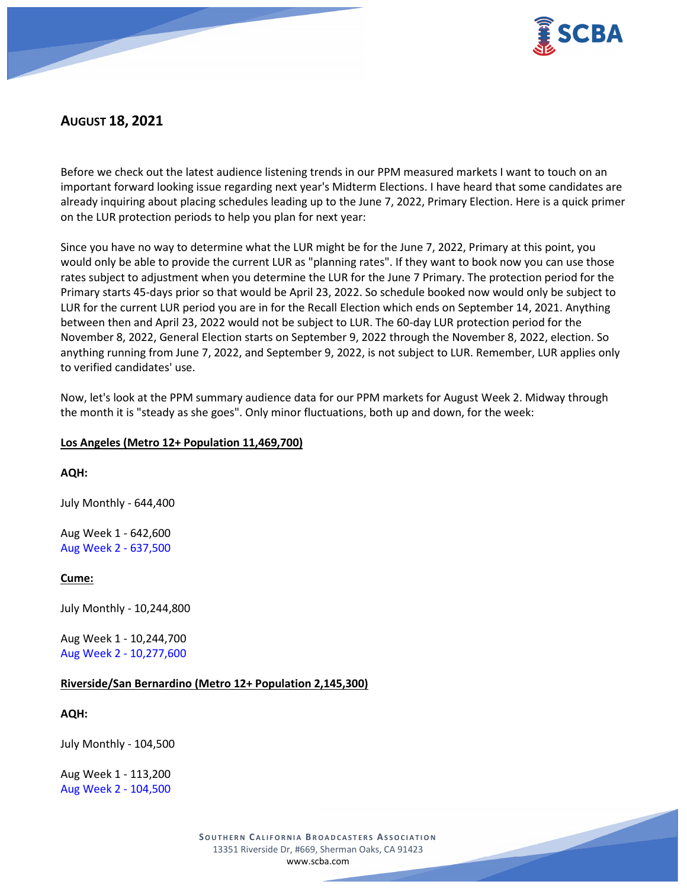

# **AUGUST 18, 2021**

Before we check out the latest audience listening trends in our PPM measured markets I want to touch on an important forward looking issue regarding next year's Midterm Elections. I have heard that some candidates are already inquiring about placing schedules leading up to the June 7, 2022, Primary Election. Here is a quick primer on the LUR protection periods to help you plan for next year:

Since you have no way to determine what the LUR might be for the June 7, 2022, Primary at this point, you would only be able to provide the current LUR as "planning rates". If they want to book now you can use those rates subject to adjustment when you determine the LUR for the June 7 Primary. The protection period for the Primary starts 45-days prior so that would be April 23, 2022. So schedule booked now would only be subject to LUR for the current LUR period you are in for the Recall Election which ends on September 14, 2021. Anything between then and April 23, 2022 would not be subject to LUR. The 60-day LUR protection period for the November 8, 2022, General Election starts on September 9, 2022 through the November 8, 2022, election. So anything running from June 7, 2022, and September 9, 2022, is not subject to LUR. Remember, LUR applies only to verified candidates' use.

Now, let's look at the PPM summary audience data for our PPM markets for August Week 2. Midway through the month it is "steady as she goes". Only minor fluctuations, both up and down, for the week:

# **Los Angeles (Metro 12+ Population 11,469,700)**

# **AQH:**

July Monthly - 644,400

Aug Week 1 - 642,600 Aug Week 2 - 637,500

# **Cume:**

July Monthly - 10,244,800

Aug Week 1 - 10,244,700 Aug Week 2 - 10,277,600

# **Riverside/San Bernardino (Metro 12+ Population 2,145,300)**

#### **AQH:**

July Monthly - 104,500

Aug Week 1 - 113,200 Aug Week 2 - 104,500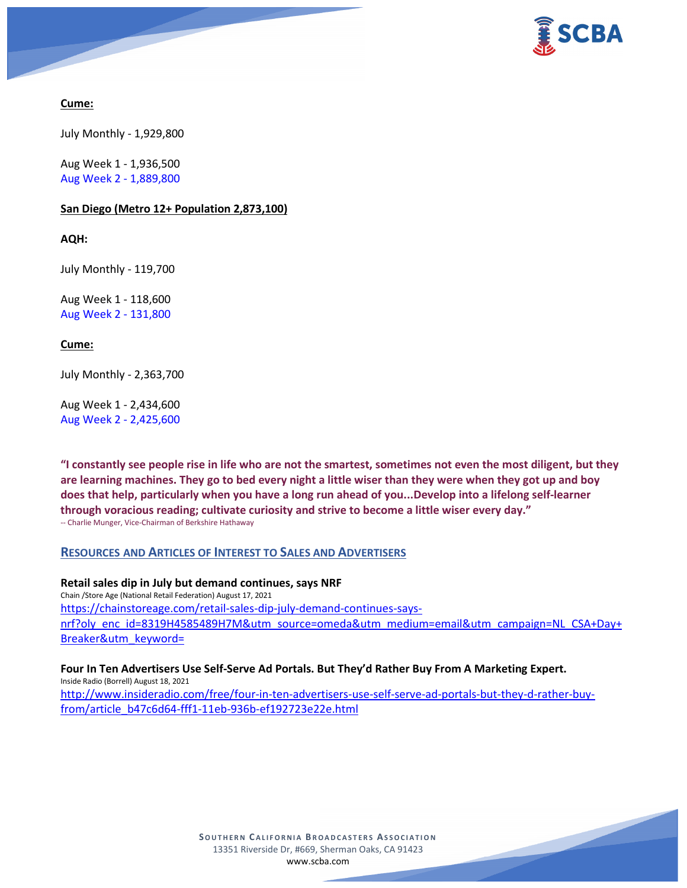

# **Cume:**

July Monthly - 1,929,800

Aug Week 1 - 1,936,500 Aug Week 2 - 1,889,800

### **San Diego (Metro 12+ Population 2,873,100)**

**AQH:**

July Monthly - 119,700

Aug Week 1 - 118,600 Aug Week 2 - 131,800

### **Cume:**

July Monthly - 2,363,700

Aug Week 1 - 2,434,600 Aug Week 2 - 2,425,600

**"I constantly see people rise in life who are not the smartest, sometimes not even the most diligent, but they are learning machines. They go to bed every night a little wiser than they were when they got up and boy does that help, particularly when you have a long run ahead of you...Develop into a lifelong self-learner through voracious reading; cultivate curiosity and strive to become a little wiser every day."** -- Charlie Munger, Vice-Chairman of Berkshire Hathaway

### **RESOURCES AND ARTICLES OF INTEREST TO SALES AND ADVERTISERS**

**Retail sales dip in July but demand continues, says NRF** Chain /Store Age (National Retail Federation) August 17, 2021 [https://chainstoreage.com/retail-sales-dip-july-demand-continues-says](https://chainstoreage.com/retail-sales-dip-july-demand-continues-says-nrf?oly_enc_id=8319H4585489H7M&utm_source=omeda&utm_medium=email&utm_campaign=NL_CSA+Day+Breaker&utm_keyword=)[nrf?oly\\_enc\\_id=8319H4585489H7M&utm\\_source=omeda&utm\\_medium=email&utm\\_campaign=NL\\_CSA+Day+](https://chainstoreage.com/retail-sales-dip-july-demand-continues-says-nrf?oly_enc_id=8319H4585489H7M&utm_source=omeda&utm_medium=email&utm_campaign=NL_CSA+Day+Breaker&utm_keyword=) [Breaker&utm\\_keyword=](https://chainstoreage.com/retail-sales-dip-july-demand-continues-says-nrf?oly_enc_id=8319H4585489H7M&utm_source=omeda&utm_medium=email&utm_campaign=NL_CSA+Day+Breaker&utm_keyword=)

**Four In Ten Advertisers Use Self-Serve Ad Portals. But They'd Rather Buy From A Marketing Expert.** Inside Radio (Borrell) August 18, 2021 [http://www.insideradio.com/free/four-in-ten-advertisers-use-self-serve-ad-portals-but-they-d-rather-buy](http://www.insideradio.com/free/four-in-ten-advertisers-use-self-serve-ad-portals-but-they-d-rather-buy-from/article_b47c6d64-fff1-11eb-936b-ef192723e22e.html)[from/article\\_b47c6d64-fff1-11eb-936b-ef192723e22e.html](http://www.insideradio.com/free/four-in-ten-advertisers-use-self-serve-ad-portals-but-they-d-rather-buy-from/article_b47c6d64-fff1-11eb-936b-ef192723e22e.html)

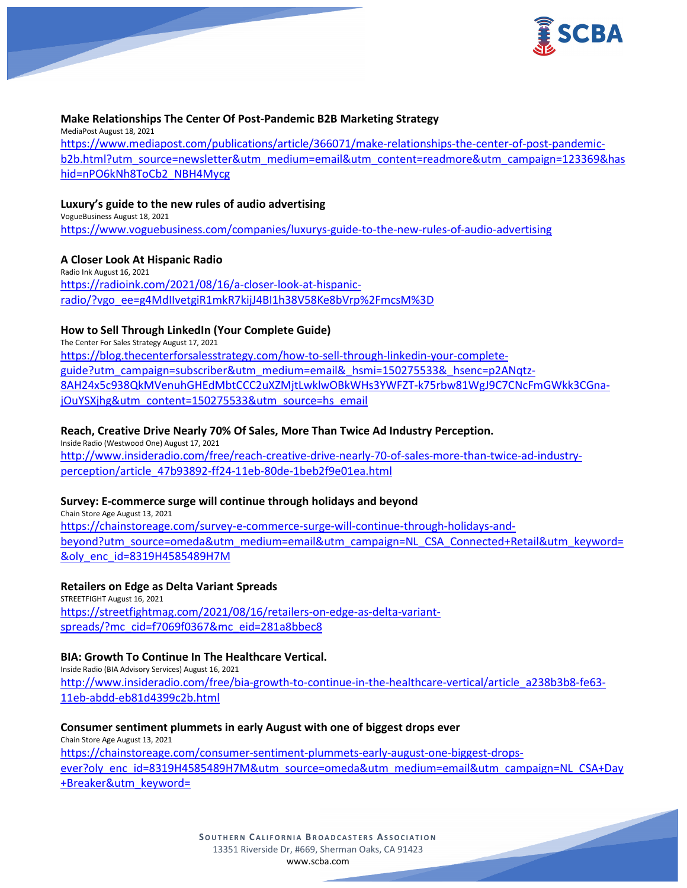

### **Make Relationships The Center Of Post-Pandemic B2B Marketing Strategy**

MediaPost August 18, 2021 [https://www.mediapost.com/publications/article/366071/make-relationships-the-center-of-post-pandemic](https://www.mediapost.com/publications/article/366071/make-relationships-the-center-of-post-pandemic-b2b.html?utm_source=newsletter&utm_medium=email&utm_content=readmore&utm_campaign=123369&hashid=nPO6kNh8ToCb2_NBH4Mycg)[b2b.html?utm\\_source=newsletter&utm\\_medium=email&utm\\_content=readmore&utm\\_campaign=123369&has](https://www.mediapost.com/publications/article/366071/make-relationships-the-center-of-post-pandemic-b2b.html?utm_source=newsletter&utm_medium=email&utm_content=readmore&utm_campaign=123369&hashid=nPO6kNh8ToCb2_NBH4Mycg) [hid=nPO6kNh8ToCb2\\_NBH4Mycg](https://www.mediapost.com/publications/article/366071/make-relationships-the-center-of-post-pandemic-b2b.html?utm_source=newsletter&utm_medium=email&utm_content=readmore&utm_campaign=123369&hashid=nPO6kNh8ToCb2_NBH4Mycg)

#### **Luxury's guide to the new rules of audio advertising**

VogueBusiness August 18, 2021 <https://www.voguebusiness.com/companies/luxurys-guide-to-the-new-rules-of-audio-advertising>

### **A Closer Look At Hispanic Radio**

Radio Ink August 16, 2021 [https://radioink.com/2021/08/16/a-closer-look-at-hispanic](https://radioink.com/2021/08/16/a-closer-look-at-hispanic-radio/?vgo_ee=g4MdIIvetgiR1mkR7kijJ4BI1h38V58Ke8bVrp%2FmcsM%3D)[radio/?vgo\\_ee=g4MdIIvetgiR1mkR7kijJ4BI1h38V58Ke8bVrp%2FmcsM%3D](https://radioink.com/2021/08/16/a-closer-look-at-hispanic-radio/?vgo_ee=g4MdIIvetgiR1mkR7kijJ4BI1h38V58Ke8bVrp%2FmcsM%3D)

#### **How to Sell Through LinkedIn (Your Complete Guide)**

The Center For Sales Strategy August 17, 2021 [https://blog.thecenterforsalesstrategy.com/how-to-sell-through-linkedin-your-complete](https://blog.thecenterforsalesstrategy.com/how-to-sell-through-linkedin-your-complete-guide?utm_campaign=subscriber&utm_medium=email&_hsmi=150275533&_hsenc=p2ANqtz-8AH24x5c938QkMVenuhGHEdMbtCCC2uXZMjtLwklwOBkWHs3YWFZT-k75rbw81WgJ9C7CNcFmGWkk3CGna-jOuYSXjhg&utm_content=150275533&utm_source=hs_email)[guide?utm\\_campaign=subscriber&utm\\_medium=email&\\_hsmi=150275533&\\_hsenc=p2ANqtz-](https://blog.thecenterforsalesstrategy.com/how-to-sell-through-linkedin-your-complete-guide?utm_campaign=subscriber&utm_medium=email&_hsmi=150275533&_hsenc=p2ANqtz-8AH24x5c938QkMVenuhGHEdMbtCCC2uXZMjtLwklwOBkWHs3YWFZT-k75rbw81WgJ9C7CNcFmGWkk3CGna-jOuYSXjhg&utm_content=150275533&utm_source=hs_email)[8AH24x5c938QkMVenuhGHEdMbtCCC2uXZMjtLwklwOBkWHs3YWFZT-k75rbw81WgJ9C7CNcFmGWkk3CGna](https://blog.thecenterforsalesstrategy.com/how-to-sell-through-linkedin-your-complete-guide?utm_campaign=subscriber&utm_medium=email&_hsmi=150275533&_hsenc=p2ANqtz-8AH24x5c938QkMVenuhGHEdMbtCCC2uXZMjtLwklwOBkWHs3YWFZT-k75rbw81WgJ9C7CNcFmGWkk3CGna-jOuYSXjhg&utm_content=150275533&utm_source=hs_email)[jOuYSXjhg&utm\\_content=150275533&utm\\_source=hs\\_email](https://blog.thecenterforsalesstrategy.com/how-to-sell-through-linkedin-your-complete-guide?utm_campaign=subscriber&utm_medium=email&_hsmi=150275533&_hsenc=p2ANqtz-8AH24x5c938QkMVenuhGHEdMbtCCC2uXZMjtLwklwOBkWHs3YWFZT-k75rbw81WgJ9C7CNcFmGWkk3CGna-jOuYSXjhg&utm_content=150275533&utm_source=hs_email)

### **Reach, Creative Drive Nearly 70% Of Sales, More Than Twice Ad Industry Perception.**

Inside Radio (Westwood One) August 17, 2021 [http://www.insideradio.com/free/reach-creative-drive-nearly-70-of-sales-more-than-twice-ad-industry](http://www.insideradio.com/free/reach-creative-drive-nearly-70-of-sales-more-than-twice-ad-industry-perception/article_47b93892-ff24-11eb-80de-1beb2f9e01ea.html)[perception/article\\_47b93892-ff24-11eb-80de-1beb2f9e01ea.html](http://www.insideradio.com/free/reach-creative-drive-nearly-70-of-sales-more-than-twice-ad-industry-perception/article_47b93892-ff24-11eb-80de-1beb2f9e01ea.html)

#### **Survey: E-commerce surge will continue through holidays and beyond**

Chain Store Age August 13, 2021 [https://chainstoreage.com/survey-e-commerce-surge-will-continue-through-holidays-and](https://chainstoreage.com/survey-e-commerce-surge-will-continue-through-holidays-and-beyond?utm_source=omeda&utm_medium=email&utm_campaign=NL_CSA_Connected+Retail&utm_keyword=&oly_enc_id=8319H4585489H7M)[beyond?utm\\_source=omeda&utm\\_medium=email&utm\\_campaign=NL\\_CSA\\_Connected+Retail&utm\\_keyword=](https://chainstoreage.com/survey-e-commerce-surge-will-continue-through-holidays-and-beyond?utm_source=omeda&utm_medium=email&utm_campaign=NL_CSA_Connected+Retail&utm_keyword=&oly_enc_id=8319H4585489H7M) [&oly\\_enc\\_id=8319H4585489H7M](https://chainstoreage.com/survey-e-commerce-surge-will-continue-through-holidays-and-beyond?utm_source=omeda&utm_medium=email&utm_campaign=NL_CSA_Connected+Retail&utm_keyword=&oly_enc_id=8319H4585489H7M)

#### **Retailers on Edge as Delta Variant Spreads**

STREETFIGHT August 16, 2021 [https://streetfightmag.com/2021/08/16/retailers-on-edge-as-delta-variant](https://streetfightmag.com/2021/08/16/retailers-on-edge-as-delta-variant-spreads/?mc_cid=f7069f0367&mc_eid=281a8bbec8)[spreads/?mc\\_cid=f7069f0367&mc\\_eid=281a8bbec8](https://streetfightmag.com/2021/08/16/retailers-on-edge-as-delta-variant-spreads/?mc_cid=f7069f0367&mc_eid=281a8bbec8)

#### **BIA: Growth To Continue In The Healthcare Vertical.**

Inside Radio (BIA Advisory Services) August 16, 2021 [http://www.insideradio.com/free/bia-growth-to-continue-in-the-healthcare-vertical/article\\_a238b3b8-fe63-](http://www.insideradio.com/free/bia-growth-to-continue-in-the-healthcare-vertical/article_a238b3b8-fe63-11eb-abdd-eb81d4399c2b.html) [11eb-abdd-eb81d4399c2b.html](http://www.insideradio.com/free/bia-growth-to-continue-in-the-healthcare-vertical/article_a238b3b8-fe63-11eb-abdd-eb81d4399c2b.html)

### **Consumer sentiment plummets in early August with one of biggest drops ever**

Chain Store Age August 13, 2021 [https://chainstoreage.com/consumer-sentiment-plummets-early-august-one-biggest-drops](https://chainstoreage.com/consumer-sentiment-plummets-early-august-one-biggest-drops-ever?oly_enc_id=8319H4585489H7M&utm_source=omeda&utm_medium=email&utm_campaign=NL_CSA+Day+Breaker&utm_keyword=)[ever?oly\\_enc\\_id=8319H4585489H7M&utm\\_source=omeda&utm\\_medium=email&utm\\_campaign=NL\\_CSA+Day](https://chainstoreage.com/consumer-sentiment-plummets-early-august-one-biggest-drops-ever?oly_enc_id=8319H4585489H7M&utm_source=omeda&utm_medium=email&utm_campaign=NL_CSA+Day+Breaker&utm_keyword=) [+Breaker&utm\\_keyword=](https://chainstoreage.com/consumer-sentiment-plummets-early-august-one-biggest-drops-ever?oly_enc_id=8319H4585489H7M&utm_source=omeda&utm_medium=email&utm_campaign=NL_CSA+Day+Breaker&utm_keyword=)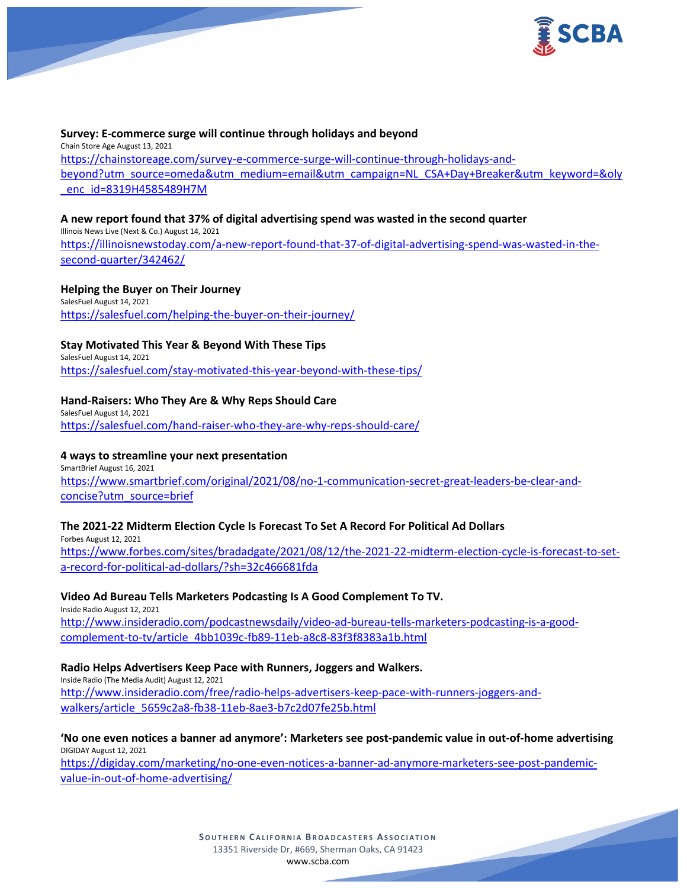

### **Survey: E-commerce surge will continue through holidays and beyond**

Chain Store Age August 13, 2021 [https://chainstoreage.com/survey-e-commerce-surge-will-continue-through-holidays-and](https://chainstoreage.com/survey-e-commerce-surge-will-continue-through-holidays-and-beyond?utm_source=omeda&utm_medium=email&utm_campaign=NL_CSA+Day+Breaker&utm_keyword=&oly_enc_id=8319H4585489H7M)[beyond?utm\\_source=omeda&utm\\_medium=email&utm\\_campaign=NL\\_CSA+Day+Breaker&utm\\_keyword=&oly](https://chainstoreage.com/survey-e-commerce-surge-will-continue-through-holidays-and-beyond?utm_source=omeda&utm_medium=email&utm_campaign=NL_CSA+Day+Breaker&utm_keyword=&oly_enc_id=8319H4585489H7M) [\\_enc\\_id=8319H4585489H7M](https://chainstoreage.com/survey-e-commerce-surge-will-continue-through-holidays-and-beyond?utm_source=omeda&utm_medium=email&utm_campaign=NL_CSA+Day+Breaker&utm_keyword=&oly_enc_id=8319H4585489H7M)

#### **A new report found that 37% of digital advertising spend was wasted in the second quarter**

Illinois News Live (Next & Co.) August 14, 2021 [https://illinoisnewstoday.com/a-new-report-found-that-37-of-digital-advertising-spend-was-wasted-in-the](https://illinoisnewstoday.com/a-new-report-found-that-37-of-digital-advertising-spend-was-wasted-in-the-second-quarter/342462/)[second-quarter/342462/](https://illinoisnewstoday.com/a-new-report-found-that-37-of-digital-advertising-spend-was-wasted-in-the-second-quarter/342462/)

#### **Helping the Buyer on Their Journey**

SalesFuel August 14, 2021 <https://salesfuel.com/helping-the-buyer-on-their-journey/>

#### **Stay Motivated This Year & Beyond With These Tips**

SalesFuel August 14, 2021 <https://salesfuel.com/stay-motivated-this-year-beyond-with-these-tips/>

#### **Hand-Raisers: Who They Are & Why Reps Should Care**

SalesFuel August 14, 2021 <https://salesfuel.com/hand-raiser-who-they-are-why-reps-should-care/>

### **4 ways to streamline your next presentation**

SmartBrief August 16, 2021 [https://www.smartbrief.com/original/2021/08/no-1-communication-secret-great-leaders-be-clear-and](https://www.smartbrief.com/original/2021/08/no-1-communication-secret-great-leaders-be-clear-and-concise?utm_source=brief)[concise?utm\\_source=brief](https://www.smartbrief.com/original/2021/08/no-1-communication-secret-great-leaders-be-clear-and-concise?utm_source=brief)

#### **The 2021-22 Midterm Election Cycle Is Forecast To Set A Record For Political Ad Dollars**

Forbes August 12, 2021 [https://www.forbes.com/sites/bradadgate/2021/08/12/the-2021-22-midterm-election-cycle-is-forecast-to-set](https://www.forbes.com/sites/bradadgate/2021/08/12/the-2021-22-midterm-election-cycle-is-forecast-to-set-a-record-for-political-ad-dollars/?sh=32c466681fda)[a-record-for-political-ad-dollars/?sh=32c466681fda](https://www.forbes.com/sites/bradadgate/2021/08/12/the-2021-22-midterm-election-cycle-is-forecast-to-set-a-record-for-political-ad-dollars/?sh=32c466681fda)

#### **Video Ad Bureau Tells Marketers Podcasting Is A Good Complement To TV.**

Inside Radio August 12, 2021 [http://www.insideradio.com/podcastnewsdaily/video-ad-bureau-tells-marketers-podcasting-is-a-good](http://www.insideradio.com/podcastnewsdaily/video-ad-bureau-tells-marketers-podcasting-is-a-good-complement-to-tv/article_4bb1039c-fb89-11eb-a8c8-83f3f8383a1b.html)[complement-to-tv/article\\_4bb1039c-fb89-11eb-a8c8-83f3f8383a1b.html](http://www.insideradio.com/podcastnewsdaily/video-ad-bureau-tells-marketers-podcasting-is-a-good-complement-to-tv/article_4bb1039c-fb89-11eb-a8c8-83f3f8383a1b.html)

#### **Radio Helps Advertisers Keep Pace with Runners, Joggers and Walkers.**

Inside Radio (The Media Audit) August 12, 2021 [http://www.insideradio.com/free/radio-helps-advertisers-keep-pace-with-runners-joggers-and](http://www.insideradio.com/free/radio-helps-advertisers-keep-pace-with-runners-joggers-and-walkers/article_5659c2a8-fb38-11eb-8ae3-b7c2d07fe25b.html)[walkers/article\\_5659c2a8-fb38-11eb-8ae3-b7c2d07fe25b.html](http://www.insideradio.com/free/radio-helps-advertisers-keep-pace-with-runners-joggers-and-walkers/article_5659c2a8-fb38-11eb-8ae3-b7c2d07fe25b.html)

**'No one even notices a banner ad anymore': Marketers see post-pandemic value in out-of-home advertising** DIGIDAY August 12, 2021

[https://digiday.com/marketing/no-one-even-notices-a-banner-ad-anymore-marketers-see-post-pandemic](https://digiday.com/marketing/no-one-even-notices-a-banner-ad-anymore-marketers-see-post-pandemic-value-in-out-of-home-advertising/)[value-in-out-of-home-advertising/](https://digiday.com/marketing/no-one-even-notices-a-banner-ad-anymore-marketers-see-post-pandemic-value-in-out-of-home-advertising/)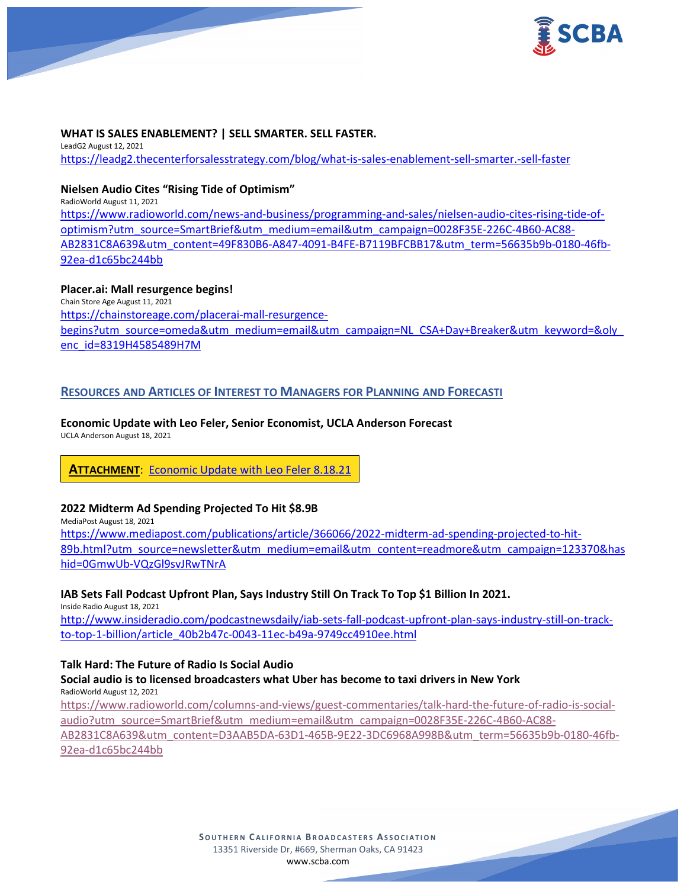

### **WHAT IS SALES ENABLEMENT? | SELL SMARTER. SELL FASTER.**

LeadG2 August 12, 2021 <https://leadg2.thecenterforsalesstrategy.com/blog/what-is-sales-enablement-sell-smarter.-sell-faster>

### **Nielsen Audio Cites "Rising Tide of Optimism"**

RadioWorld August 11, 2021 [https://www.radioworld.com/news-and-business/programming-and-sales/nielsen-audio-cites-rising-tide-of](https://www.radioworld.com/news-and-business/programming-and-sales/nielsen-audio-cites-rising-tide-of-optimism?utm_source=SmartBrief&utm_medium=email&utm_campaign=0028F35E-226C-4B60-AC88-AB2831C8A639&utm_content=49F830B6-A847-4091-B4FE-B7119BFCBB17&utm_term=56635b9b-0180-46fb-92ea-d1c65bc244bb)[optimism?utm\\_source=SmartBrief&utm\\_medium=email&utm\\_campaign=0028F35E-226C-4B60-AC88-](https://www.radioworld.com/news-and-business/programming-and-sales/nielsen-audio-cites-rising-tide-of-optimism?utm_source=SmartBrief&utm_medium=email&utm_campaign=0028F35E-226C-4B60-AC88-AB2831C8A639&utm_content=49F830B6-A847-4091-B4FE-B7119BFCBB17&utm_term=56635b9b-0180-46fb-92ea-d1c65bc244bb) [AB2831C8A639&utm\\_content=49F830B6-A847-4091-B4FE-B7119BFCBB17&utm\\_term=56635b9b-0180-46fb-](https://www.radioworld.com/news-and-business/programming-and-sales/nielsen-audio-cites-rising-tide-of-optimism?utm_source=SmartBrief&utm_medium=email&utm_campaign=0028F35E-226C-4B60-AC88-AB2831C8A639&utm_content=49F830B6-A847-4091-B4FE-B7119BFCBB17&utm_term=56635b9b-0180-46fb-92ea-d1c65bc244bb)[92ea-d1c65bc244bb](https://www.radioworld.com/news-and-business/programming-and-sales/nielsen-audio-cites-rising-tide-of-optimism?utm_source=SmartBrief&utm_medium=email&utm_campaign=0028F35E-226C-4B60-AC88-AB2831C8A639&utm_content=49F830B6-A847-4091-B4FE-B7119BFCBB17&utm_term=56635b9b-0180-46fb-92ea-d1c65bc244bb)

### **Placer.ai: Mall resurgence begins!**

Chain Store Age August 11, 2021 [https://chainstoreage.com/placerai-mall-resurgence](https://chainstoreage.com/placerai-mall-resurgence-begins?utm_source=omeda&utm_medium=email&utm_campaign=NL_CSA+Day+Breaker&utm_keyword=&oly_enc_id=8319H4585489H7M)[begins?utm\\_source=omeda&utm\\_medium=email&utm\\_campaign=NL\\_CSA+Day+Breaker&utm\\_keyword=&oly\\_](https://chainstoreage.com/placerai-mall-resurgence-begins?utm_source=omeda&utm_medium=email&utm_campaign=NL_CSA+Day+Breaker&utm_keyword=&oly_enc_id=8319H4585489H7M) [enc\\_id=8319H4585489H7M](https://chainstoreage.com/placerai-mall-resurgence-begins?utm_source=omeda&utm_medium=email&utm_campaign=NL_CSA+Day+Breaker&utm_keyword=&oly_enc_id=8319H4585489H7M)

# **RESOURCES AND ARTICLES OF INTEREST TO MANAGERS FOR PLANNING AND FORECASTI**

# **Economic Update with Leo Feler, Senior Economist, UCLA Anderson Forecast**

UCLA Anderson August 18, 2021

# **ATTACHMENT**: [Economic Update with Leo Feler 8.18.21](https://scba.com/wp-content/uploads/2021/08/Economic-Update-with-Leo-Feler-8.18.21.pdf)

#### **2022 Midterm Ad Spending Projected To Hit \$8.9B**

MediaPost August 18, 2021

[https://www.mediapost.com/publications/article/366066/2022-midterm-ad-spending-projected-to-hit-](https://www.mediapost.com/publications/article/366066/2022-midterm-ad-spending-projected-to-hit-89b.html?utm_source=newsletter&utm_medium=email&utm_content=readmore&utm_campaign=123370&hashid=0GmwUb-VQzGl9svJRwTNrA)[89b.html?utm\\_source=newsletter&utm\\_medium=email&utm\\_content=readmore&utm\\_campaign=123370&has](https://www.mediapost.com/publications/article/366066/2022-midterm-ad-spending-projected-to-hit-89b.html?utm_source=newsletter&utm_medium=email&utm_content=readmore&utm_campaign=123370&hashid=0GmwUb-VQzGl9svJRwTNrA) [hid=0GmwUb-VQzGl9svJRwTNrA](https://www.mediapost.com/publications/article/366066/2022-midterm-ad-spending-projected-to-hit-89b.html?utm_source=newsletter&utm_medium=email&utm_content=readmore&utm_campaign=123370&hashid=0GmwUb-VQzGl9svJRwTNrA)

# **IAB Sets Fall Podcast Upfront Plan, Says Industry Still On Track To Top \$1 Billion In 2021.**

Inside Radio August 18, 2021 [http://www.insideradio.com/podcastnewsdaily/iab-sets-fall-podcast-upfront-plan-says-industry-still-on-track](http://www.insideradio.com/podcastnewsdaily/iab-sets-fall-podcast-upfront-plan-says-industry-still-on-track-to-top-1-billion/article_40b2b47c-0043-11ec-b49a-9749cc4910ee.html)[to-top-1-billion/article\\_40b2b47c-0043-11ec-b49a-9749cc4910ee.html](http://www.insideradio.com/podcastnewsdaily/iab-sets-fall-podcast-upfront-plan-says-industry-still-on-track-to-top-1-billion/article_40b2b47c-0043-11ec-b49a-9749cc4910ee.html)

#### **Talk Hard: The Future of Radio Is Social Audio**

**Social audio is to licensed broadcasters what Uber has become to taxi drivers in New York** RadioWorld August 12, 2021

[https://www.radioworld.com/columns-and-views/guest-commentaries/talk-hard-the-future-of-radio-is-social](https://www.radioworld.com/columns-and-views/guest-commentaries/talk-hard-the-future-of-radio-is-social-audio?utm_source=SmartBrief&utm_medium=email&utm_campaign=0028F35E-226C-4B60-AC88-AB2831C8A639&utm_content=D3AAB5DA-63D1-465B-9E22-3DC6968A998B&utm_term=56635b9b-0180-46fb-92ea-d1c65bc244bb)[audio?utm\\_source=SmartBrief&utm\\_medium=email&utm\\_campaign=0028F35E-226C-4B60-AC88-](https://www.radioworld.com/columns-and-views/guest-commentaries/talk-hard-the-future-of-radio-is-social-audio?utm_source=SmartBrief&utm_medium=email&utm_campaign=0028F35E-226C-4B60-AC88-AB2831C8A639&utm_content=D3AAB5DA-63D1-465B-9E22-3DC6968A998B&utm_term=56635b9b-0180-46fb-92ea-d1c65bc244bb) [AB2831C8A639&utm\\_content=D3AAB5DA-63D1-465B-9E22-3DC6968A998B&utm\\_term=56635b9b-0180-46fb-](https://www.radioworld.com/columns-and-views/guest-commentaries/talk-hard-the-future-of-radio-is-social-audio?utm_source=SmartBrief&utm_medium=email&utm_campaign=0028F35E-226C-4B60-AC88-AB2831C8A639&utm_content=D3AAB5DA-63D1-465B-9E22-3DC6968A998B&utm_term=56635b9b-0180-46fb-92ea-d1c65bc244bb)

[92ea-d1c65bc244bb](https://www.radioworld.com/columns-and-views/guest-commentaries/talk-hard-the-future-of-radio-is-social-audio?utm_source=SmartBrief&utm_medium=email&utm_campaign=0028F35E-226C-4B60-AC88-AB2831C8A639&utm_content=D3AAB5DA-63D1-465B-9E22-3DC6968A998B&utm_term=56635b9b-0180-46fb-92ea-d1c65bc244bb)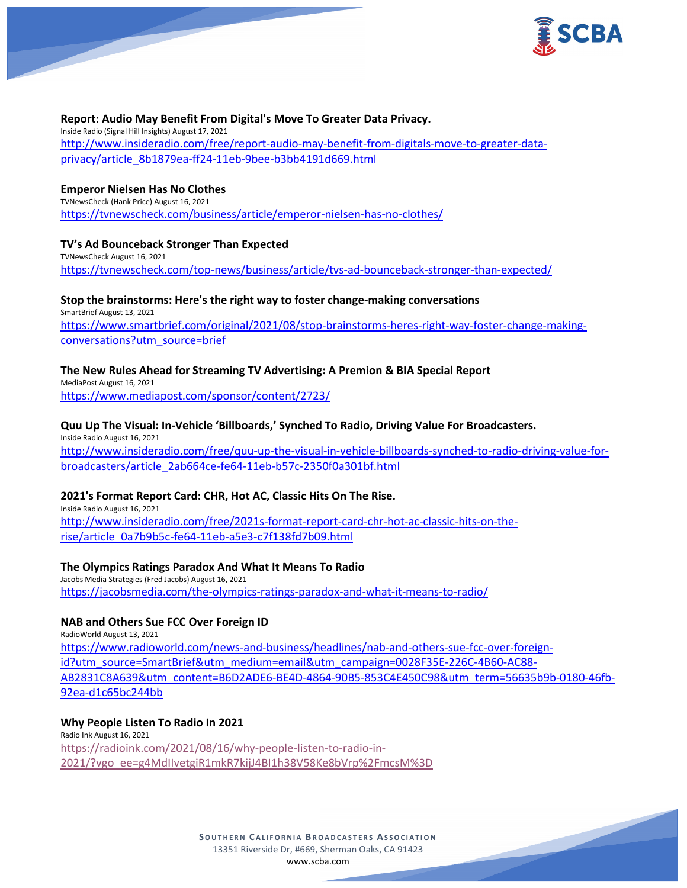

#### **Report: Audio May Benefit From Digital's Move To Greater Data Privacy.**

Inside Radio (Signal Hill Insights) August 17, 2021 [http://www.insideradio.com/free/report-audio-may-benefit-from-digitals-move-to-greater-data](http://www.insideradio.com/free/report-audio-may-benefit-from-digitals-move-to-greater-data-privacy/article_8b1879ea-ff24-11eb-9bee-b3bb4191d669.html)[privacy/article\\_8b1879ea-ff24-11eb-9bee-b3bb4191d669.html](http://www.insideradio.com/free/report-audio-may-benefit-from-digitals-move-to-greater-data-privacy/article_8b1879ea-ff24-11eb-9bee-b3bb4191d669.html)

#### **Emperor Nielsen Has No Clothes**

TVNewsCheck (Hank Price) August 16, 2021 <https://tvnewscheck.com/business/article/emperor-nielsen-has-no-clothes/>

#### **TV's Ad Bounceback Stronger Than Expected**

TVNewsCheck August 16, 2021 <https://tvnewscheck.com/top-news/business/article/tvs-ad-bounceback-stronger-than-expected/>

#### **Stop the brainstorms: Here's the right way to foster change-making conversations**

SmartBrief August 13, 2021 [https://www.smartbrief.com/original/2021/08/stop-brainstorms-heres-right-way-foster-change-making](https://www.smartbrief.com/original/2021/08/stop-brainstorms-heres-right-way-foster-change-making-conversations?utm_source=brief)[conversations?utm\\_source=brief](https://www.smartbrief.com/original/2021/08/stop-brainstorms-heres-right-way-foster-change-making-conversations?utm_source=brief)

#### **The New Rules Ahead for Streaming TV Advertising: A Premion & BIA Special Report**

MediaPost August 16, 2021 <https://www.mediapost.com/sponsor/content/2723/>

### **Quu Up The Visual: In-Vehicle 'Billboards,' Synched To Radio, Driving Value For Broadcasters.**

Inside Radio August 16, 2021 [http://www.insideradio.com/free/quu-up-the-visual-in-vehicle-billboards-synched-to-radio-driving-value-for](http://www.insideradio.com/free/quu-up-the-visual-in-vehicle-billboards-synched-to-radio-driving-value-for-broadcasters/article_2ab664ce-fe64-11eb-b57c-2350f0a301bf.html)[broadcasters/article\\_2ab664ce-fe64-11eb-b57c-2350f0a301bf.html](http://www.insideradio.com/free/quu-up-the-visual-in-vehicle-billboards-synched-to-radio-driving-value-for-broadcasters/article_2ab664ce-fe64-11eb-b57c-2350f0a301bf.html)

#### **2021's Format Report Card: CHR, Hot AC, Classic Hits On The Rise.**

Inside Radio August 16, 2021 [http://www.insideradio.com/free/2021s-format-report-card-chr-hot-ac-classic-hits-on-the](http://www.insideradio.com/free/2021s-format-report-card-chr-hot-ac-classic-hits-on-the-rise/article_0a7b9b5c-fe64-11eb-a5e3-c7f138fd7b09.html)[rise/article\\_0a7b9b5c-fe64-11eb-a5e3-c7f138fd7b09.html](http://www.insideradio.com/free/2021s-format-report-card-chr-hot-ac-classic-hits-on-the-rise/article_0a7b9b5c-fe64-11eb-a5e3-c7f138fd7b09.html)

#### **The Olympics Ratings Paradox And What It Means To Radio**

Jacobs Media Strategies (Fred Jacobs) August 16, 2021 <https://jacobsmedia.com/the-olympics-ratings-paradox-and-what-it-means-to-radio/>

### **NAB and Others Sue FCC Over Foreign ID**

RadioWorld August 13, 2021

[https://www.radioworld.com/news-and-business/headlines/nab-and-others-sue-fcc-over-foreign](https://www.radioworld.com/news-and-business/headlines/nab-and-others-sue-fcc-over-foreign-id?utm_source=SmartBrief&utm_medium=email&utm_campaign=0028F35E-226C-4B60-AC88-AB2831C8A639&utm_content=B6D2ADE6-BE4D-4864-90B5-853C4E450C98&utm_term=56635b9b-0180-46fb-92ea-d1c65bc244bb)[id?utm\\_source=SmartBrief&utm\\_medium=email&utm\\_campaign=0028F35E-226C-4B60-AC88-](https://www.radioworld.com/news-and-business/headlines/nab-and-others-sue-fcc-over-foreign-id?utm_source=SmartBrief&utm_medium=email&utm_campaign=0028F35E-226C-4B60-AC88-AB2831C8A639&utm_content=B6D2ADE6-BE4D-4864-90B5-853C4E450C98&utm_term=56635b9b-0180-46fb-92ea-d1c65bc244bb) [AB2831C8A639&utm\\_content=B6D2ADE6-BE4D-4864-90B5-853C4E450C98&utm\\_term=56635b9b-0180-46fb-](https://www.radioworld.com/news-and-business/headlines/nab-and-others-sue-fcc-over-foreign-id?utm_source=SmartBrief&utm_medium=email&utm_campaign=0028F35E-226C-4B60-AC88-AB2831C8A639&utm_content=B6D2ADE6-BE4D-4864-90B5-853C4E450C98&utm_term=56635b9b-0180-46fb-92ea-d1c65bc244bb)[92ea-d1c65bc244bb](https://www.radioworld.com/news-and-business/headlines/nab-and-others-sue-fcc-over-foreign-id?utm_source=SmartBrief&utm_medium=email&utm_campaign=0028F35E-226C-4B60-AC88-AB2831C8A639&utm_content=B6D2ADE6-BE4D-4864-90B5-853C4E450C98&utm_term=56635b9b-0180-46fb-92ea-d1c65bc244bb)

**Why People Listen To Radio In 2021** Radio Ink August 16, 2021 [https://radioink.com/2021/08/16/why-people-listen-to-radio-in-](https://radioink.com/2021/08/16/why-people-listen-to-radio-in-2021/?vgo_ee=g4MdIIvetgiR1mkR7kijJ4BI1h38V58Ke8bVrp%2FmcsM%3D)[2021/?vgo\\_ee=g4MdIIvetgiR1mkR7kijJ4BI1h38V58Ke8bVrp%2FmcsM%3D](https://radioink.com/2021/08/16/why-people-listen-to-radio-in-2021/?vgo_ee=g4MdIIvetgiR1mkR7kijJ4BI1h38V58Ke8bVrp%2FmcsM%3D)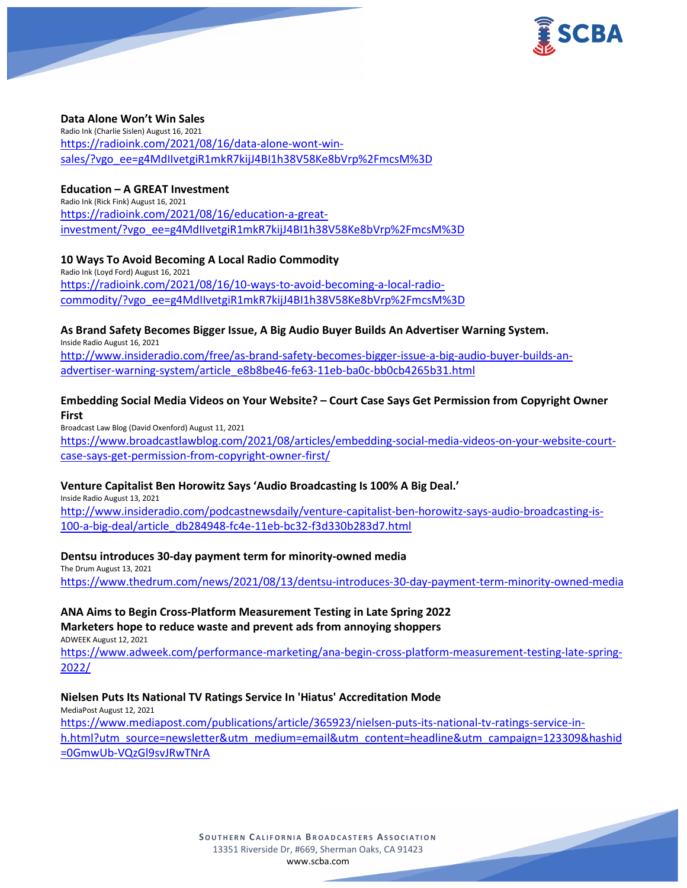

### **Data Alone Won't Win Sales**

Radio Ink (Charlie Sislen) August 16, 2021 [https://radioink.com/2021/08/16/data-alone-wont-win](https://radioink.com/2021/08/16/data-alone-wont-win-sales/?vgo_ee=g4MdIIvetgiR1mkR7kijJ4BI1h38V58Ke8bVrp%2FmcsM%3D)[sales/?vgo\\_ee=g4MdIIvetgiR1mkR7kijJ4BI1h38V58Ke8bVrp%2FmcsM%3D](https://radioink.com/2021/08/16/data-alone-wont-win-sales/?vgo_ee=g4MdIIvetgiR1mkR7kijJ4BI1h38V58Ke8bVrp%2FmcsM%3D)

### **Education – A GREAT Investment**

Radio Ink (Rick Fink) August 16, 2021 [https://radioink.com/2021/08/16/education-a-great](https://radioink.com/2021/08/16/education-a-great-investment/?vgo_ee=g4MdIIvetgiR1mkR7kijJ4BI1h38V58Ke8bVrp%2FmcsM%3D)[investment/?vgo\\_ee=g4MdIIvetgiR1mkR7kijJ4BI1h38V58Ke8bVrp%2FmcsM%3D](https://radioink.com/2021/08/16/education-a-great-investment/?vgo_ee=g4MdIIvetgiR1mkR7kijJ4BI1h38V58Ke8bVrp%2FmcsM%3D)

### **10 Ways To Avoid Becoming A Local Radio Commodity**

Radio Ink (Loyd Ford) August 16, 2021 [https://radioink.com/2021/08/16/10-ways-to-avoid-becoming-a-local-radio](https://radioink.com/2021/08/16/10-ways-to-avoid-becoming-a-local-radio-commodity/?vgo_ee=g4MdIIvetgiR1mkR7kijJ4BI1h38V58Ke8bVrp%2FmcsM%3D)[commodity/?vgo\\_ee=g4MdIIvetgiR1mkR7kijJ4BI1h38V58Ke8bVrp%2FmcsM%3D](https://radioink.com/2021/08/16/10-ways-to-avoid-becoming-a-local-radio-commodity/?vgo_ee=g4MdIIvetgiR1mkR7kijJ4BI1h38V58Ke8bVrp%2FmcsM%3D)

### **As Brand Safety Becomes Bigger Issue, A Big Audio Buyer Builds An Advertiser Warning System.**

Inside Radio August 16, 2021

[http://www.insideradio.com/free/as-brand-safety-becomes-bigger-issue-a-big-audio-buyer-builds-an](http://www.insideradio.com/free/as-brand-safety-becomes-bigger-issue-a-big-audio-buyer-builds-an-advertiser-warning-system/article_e8b8be46-fe63-11eb-ba0c-bb0cb4265b31.html)[advertiser-warning-system/article\\_e8b8be46-fe63-11eb-ba0c-bb0cb4265b31.html](http://www.insideradio.com/free/as-brand-safety-becomes-bigger-issue-a-big-audio-buyer-builds-an-advertiser-warning-system/article_e8b8be46-fe63-11eb-ba0c-bb0cb4265b31.html)

# **Embedding Social Media Videos on Your Website? – Court Case Says Get Permission from Copyright Owner First**

Broadcast Law Blog (David Oxenford) August 11, 2021 [https://www.broadcastlawblog.com/2021/08/articles/embedding-social-media-videos-on-your-website-court](https://www.broadcastlawblog.com/2021/08/articles/embedding-social-media-videos-on-your-website-court-case-says-get-permission-from-copyright-owner-first/)[case-says-get-permission-from-copyright-owner-first/](https://www.broadcastlawblog.com/2021/08/articles/embedding-social-media-videos-on-your-website-court-case-says-get-permission-from-copyright-owner-first/)

# **Venture Capitalist Ben Horowitz Says 'Audio Broadcasting Is 100% A Big Deal.'**

Inside Radio August 13, 2021

[http://www.insideradio.com/podcastnewsdaily/venture-capitalist-ben-horowitz-says-audio-broadcasting-is-](http://www.insideradio.com/podcastnewsdaily/venture-capitalist-ben-horowitz-says-audio-broadcasting-is-100-a-big-deal/article_db284948-fc4e-11eb-bc32-f3d330b283d7.html)[100-a-big-deal/article\\_db284948-fc4e-11eb-bc32-f3d330b283d7.html](http://www.insideradio.com/podcastnewsdaily/venture-capitalist-ben-horowitz-says-audio-broadcasting-is-100-a-big-deal/article_db284948-fc4e-11eb-bc32-f3d330b283d7.html)

# **Dentsu introduces 30-day payment term for minority-owned media**

The Drum August 13, 2021 <https://www.thedrum.com/news/2021/08/13/dentsu-introduces-30-day-payment-term-minority-owned-media>

# **ANA Aims to Begin Cross-Platform Measurement Testing in Late Spring 2022**

**Marketers hope to reduce waste and prevent ads from annoying shoppers**

ADWEEK August 12, 2021

[https://www.adweek.com/performance-marketing/ana-begin-cross-platform-measurement-testing-late-spring-](https://www.adweek.com/performance-marketing/ana-begin-cross-platform-measurement-testing-late-spring-2022/)[2022/](https://www.adweek.com/performance-marketing/ana-begin-cross-platform-measurement-testing-late-spring-2022/)

# **Nielsen Puts Its National TV Ratings Service In 'Hiatus' Accreditation Mode**

MediaPost August 12, 2021 [https://www.mediapost.com/publications/article/365923/nielsen-puts-its-national-tv-ratings-service-in](https://www.mediapost.com/publications/article/365923/nielsen-puts-its-national-tv-ratings-service-in-h.html?utm_source=newsletter&utm_medium=email&utm_content=headline&utm_campaign=123309&hashid=0GmwUb-VQzGl9svJRwTNrA)[h.html?utm\\_source=newsletter&utm\\_medium=email&utm\\_content=headline&utm\\_campaign=123309&hashid](https://www.mediapost.com/publications/article/365923/nielsen-puts-its-national-tv-ratings-service-in-h.html?utm_source=newsletter&utm_medium=email&utm_content=headline&utm_campaign=123309&hashid=0GmwUb-VQzGl9svJRwTNrA) [=0GmwUb-VQzGl9svJRwTNrA](https://www.mediapost.com/publications/article/365923/nielsen-puts-its-national-tv-ratings-service-in-h.html?utm_source=newsletter&utm_medium=email&utm_content=headline&utm_campaign=123309&hashid=0GmwUb-VQzGl9svJRwTNrA)